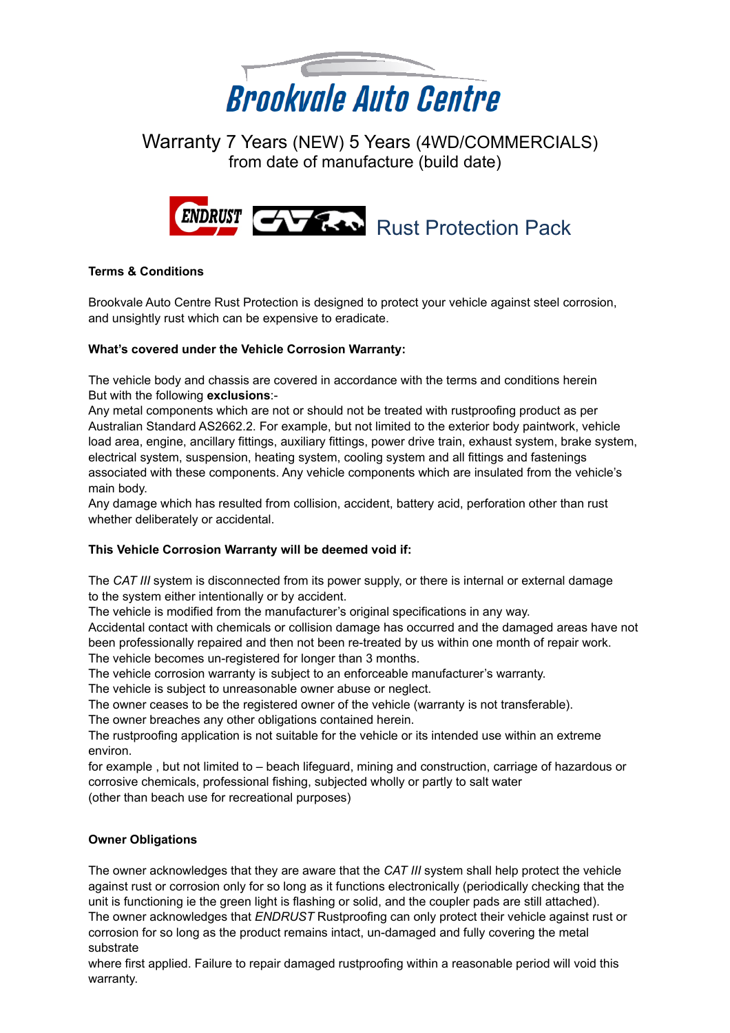

 Warranty 7 Years (NEW) 5 Years (4WD/COMMERCIALS) from date of manufacture (build date)



# **Terms & Conditions**

Brookvale Auto Centre Rust Protection is designed to protect your vehicle against steel corrosion, and unsightly rust which can be expensive to eradicate.

## **What's covered under the Vehicle Corrosion Warranty:**

The vehicle body and chassis are covered in accordance with the terms and conditions herein But with the following **exclusions**:-

Any metal components which are not or should not be treated with rustproofing product as per Australian Standard AS2662.2. For example, but not limited to the exterior body paintwork, vehicle load area, engine, ancillary fittings, auxiliary fittings, power drive train, exhaust system, brake system, electrical system, suspension, heating system, cooling system and all fittings and fastenings associated with these components. Any vehicle components which are insulated from the vehicle's main body.

Any damage which has resulted from collision, accident, battery acid, perforation other than rust whether deliberately or accidental.

## **This Vehicle Corrosion Warranty will be deemed void if:**

The *CAT III* system is disconnected from its power supply, or there is internal or external damage to the system either intentionally or by accident.

The vehicle is modified from the manufacturer's original specifications in any way.

Accidental contact with chemicals or collision damage has occurred and the damaged areas have not been professionally repaired and then not been re-treated by us within one month of repair work. The vehicle becomes un-registered for longer than 3 months.

The vehicle corrosion warranty is subject to an enforceable manufacturer's warranty.

The vehicle is subject to unreasonable owner abuse or neglect.

The owner ceases to be the registered owner of the vehicle (warranty is not transferable).

The owner breaches any other obligations contained herein.

The rustproofing application is not suitable for the vehicle or its intended use within an extreme environ.

for example , but not limited to – beach lifeguard, mining and construction, carriage of hazardous or corrosive chemicals, professional fishing, subjected wholly or partly to salt water (other than beach use for recreational purposes)

## **Owner Obligations**

The owner acknowledges that they are aware that the *CAT III* system shall help protect the vehicle against rust or corrosion only for so long as it functions electronically (periodically checking that the unit is functioning ie the green light is flashing or solid, and the coupler pads are still attached). The owner acknowledges that *ENDRUST* Rustproofing can only protect their vehicle against rust or corrosion for so long as the product remains intact, un-damaged and fully covering the metal substrate

where first applied. Failure to repair damaged rustproofing within a reasonable period will void this warranty.